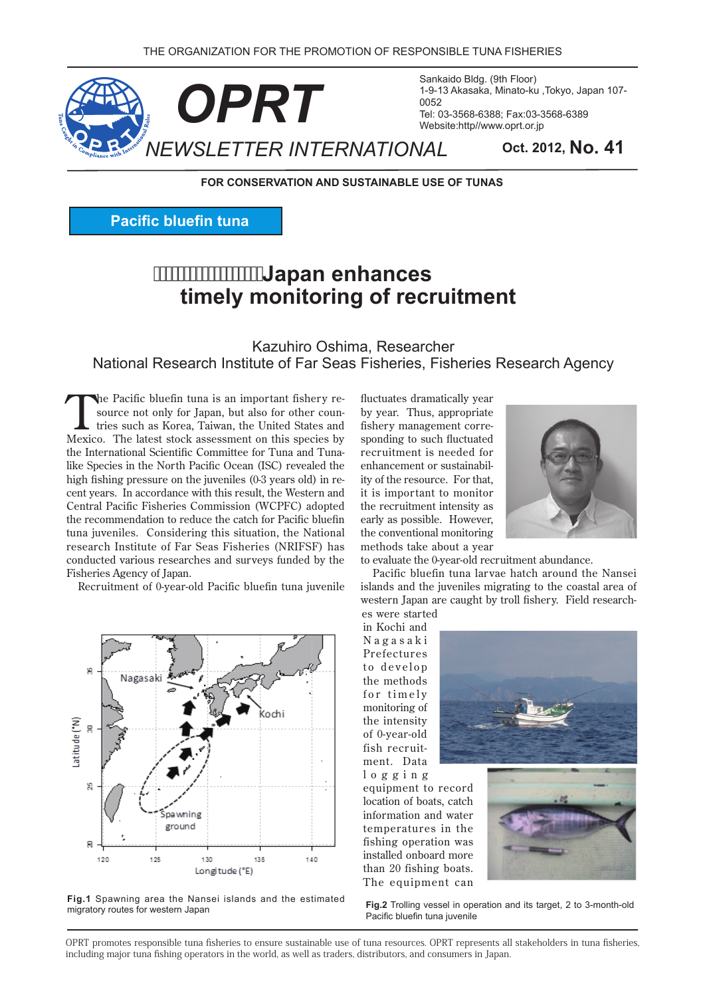

Sankaido Bldg. (9th Floor) 1-9-13 Akasaka, Minato-ku, Tokyo, Japan 107-0052 Tel: 03-3568-6388; Fax: 03-3568-6389 Website:http//www.oprt.or.jp

**FOR CONSERVATION AND SUSTAINABLE USE OF TUNAS** 

**Pacific bluefin tuna** 

# **Japan enhances timely monitoring of recruitment**

#### Kazuhiro Oshima, Researcher National Research Institute of Far Seas Fisheries, Fisheries Research Agency

tries such as Korea, Taiwan, the United States and source not only for Japan, but also for other counthe Pacific bluefin tuna is an important fishery re-Mexico. The latest stock assessment on this species by like Species in the North Pacific Ocean (ISC) revealed the the International Scientific Committee for Tuna and Tunacent vears. In accordance with this result, the Western and high fishing pressure on the juveniles (0-3 years old) in re-Central Pacific Fisheries Commission (WCPFC) adopted the recommendation to reduce the catch for Pacific bluefin tuna juveniles. Considering this situation, the National research Institute of Far Seas Fisheries (NRIFSF) has conducted various researches and surveys funded by the Fisheries Agency of Japan.

Recruitment of 0-year-old-Pacific bluefin tuna juvenile



Fig.1 Spawning area the Nansei islands and the estimated migratory routes for western Japan

fluctuates dramatically year by year. Thus, appropriate sponding to such fluctuated fishery management correrecruitment is needed for ity of the resource. For that, enhancement or sustainabilit is important to monitor the recruitment intensity as early as possible. However, the conventional monitoring methods take about a year



to evaluate the 0-year-old recruitment abundance.

Pacific bluefin tuna larvae hatch around the Nansei islands and the juveniles migrating to the coastal area of western Japan are caught by troll fishery. Field researches were started

in Kochi and N a g a s a k i Prefectures to develop the methods for timely monitoring of the intensity of 0-year-old ment. Data fish recruit-

 $log$  g i n g equipment to record location of boats, catch information and water temperatures in the fishing operation was installed onboard more than 20 fishing boats. The equipment can



Fig.2 Trolling vessel in operation and its target, 2 to 3-month-old Pacific bluefin tuna juvenile

OPRT promotes responsible tuna fisheries to ensure sustainable use of tuna resources. OPRT represents all stakeholders in tuna fisheries. including major tuna fishing operators in the world, as well as traders, distributors, and consumers in Japan.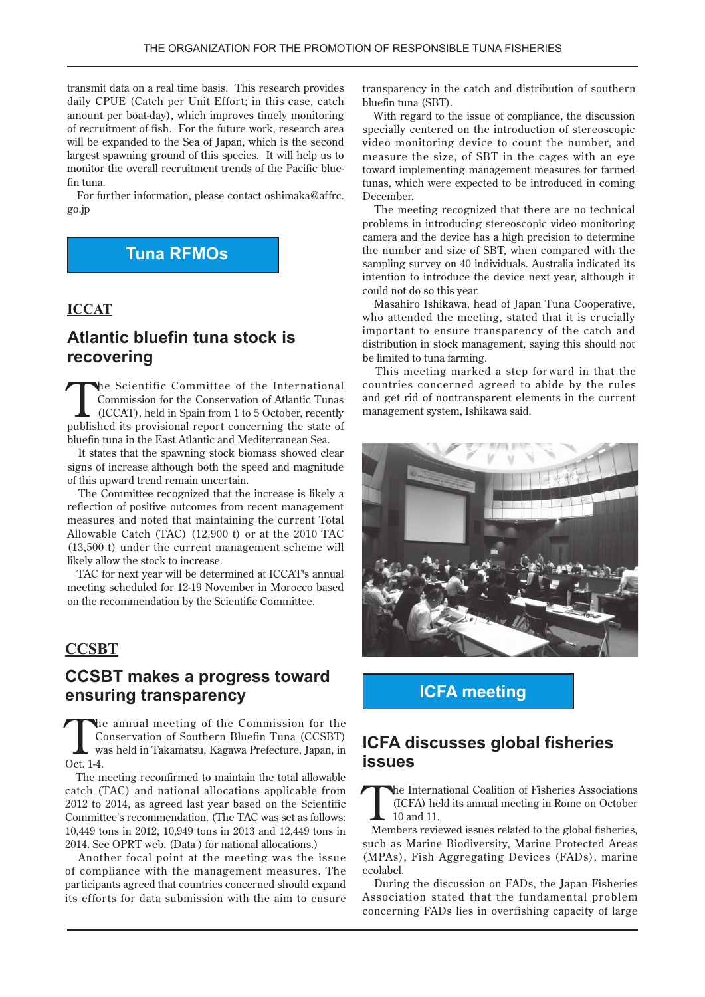transmit data on a real time basis. This research provides daily CPUE (Catch per Unit Effort; in this case, catch amount per boat-day), which improves timely monitoring of recruitment of fish. For the future work, research area will be expanded to the Sea of Japan, which is the second largest spawning ground of this species. It will help us to monitor the overall recruitment trends of the Pacific blue-<br>fin tuna.

For further information, please contact oshimaka@affrc. jp.go

# **Tuna RFMOs**

#### **ICCAT**

### **Atlantic bluefin tuna stock is recovering**

The Scientific Committee of the International Commission for the Conservation of Atlantic Tunas  $(ICCAT)$ , held in Spain from 1 to 5 October, recently published its provisional report concerning the state of bluefin tuna in the East Atlantic and Mediterranean Sea.

It states that the spawning stock biomass showed clear signs of increase although both the speed and magnitude of this upward trend remain uncertain.

The Committee recognized that the increase is likely a reflection of positive outcomes from recent management measures and noted that maintaining the current Total Allowable Catch (TAC)  $(12,900)$  or at the 2010 TAC  $(13,500)$  t) under the current management scheme will likely allow the stock to increase.

TAC for next year will be determined at ICCAT's annual meeting scheduled for 12-19 November in Morocco based on the recommendation by the Scientific Committee.

#### **CCSBT**

### **CCSBT** makes a progress toward **ensuring transparency**

the annual meeting of the Commission for the Conservation of Southern Bluefin Tuna (CCSBT) was held in Takamatsu, Kagawa Prefecture, Japan, in Oct. 1-4.

The meeting reconfirmed to maintain the total allowable catch (TAC) and national allocations applicable from  $2012$  to  $2014$ , as agreed last year based on the Scientific Committee's recommendation. (The TAC was set as follows: 10,449 tons in 2012, 10,949 tons in 2013 and 12,449 tons in 2014. See OPRT web. (Data ) for national allocations.)

Another focal point at the meeting was the issue of compliance with the management measures. The participants agreed that countries concerned should expand its efforts for data submission with the aim to ensure transparency in the catch and distribution of southern bluefin tuna (SBT).

With regard to the issue of compliance, the discussion specially centered on the introduction of stereoscopic video monitoring device to count the number, and measure the size, of SBT in the cages with an eve toward implementing management measures for farmed tunas, which were expected to be introduced in coming .December

The meeting recognized that there are no technical problems in introducing stereoscopic video monitoring camera and the device has a high precision to determine the number and size of SBT, when compared with the sampling survey on 40 individuals. Australia indicated its intention to introduce the device next year, although it could not do so this year.

Masahiro Ishikawa, head of Japan Tuna Cooperative, who attended the meeting, stated that it is crucially important to ensure transparency of the catch and distribution in stock management, saying this should not be limited to tuna farming.

This meeting marked a step forward in that the countries concerned agreed to abide by the rules and get rid of nontransparent elements in the current management system, Ishikawa said.



**ICFA** meeting

### **ICFA discusses global fisheries issues**

The International Coalition of Fisheries Associations<br>(ICFA) held its annual meeting in Rome on October<br>10 and 11. (ICFA) held its annual meeting in Rome on October  $10$  and  $11$ 

Members reviewed issues related to the global fisheries, such as Marine Biodiversity, Marine Protected Areas (MPAs), Fish Aggregating Devices (FADs), marine .ecolabel

During the discussion on FADs, the Japan Fisheries Association stated that the fundamental problem concerning FADs lies in overfishing capacity of large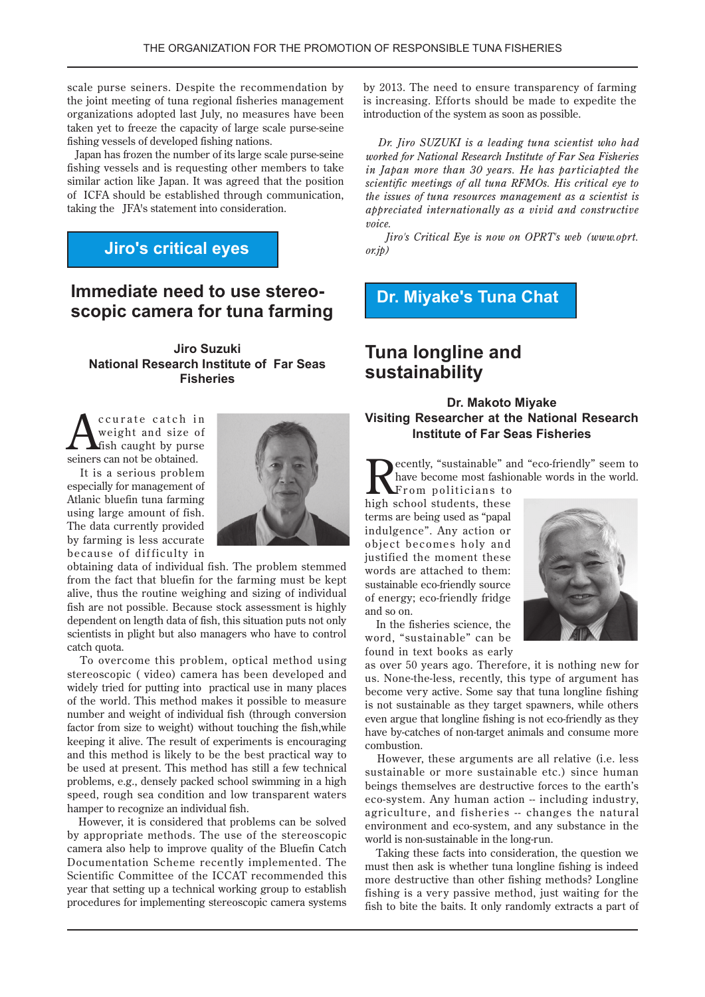scale purse seiners. Despite the recommendation by the joint meeting of tuna regional fisheries management organizations adopted last July, no measures have been taken yet to freeze the capacity of large scale purse-seine fishing vessels of developed fishing nations.

Japan has frozen the number of its large scale purse-seine fishing vessels and is requesting other members to take similar action like Japan. It was agreed that the position of ICFA should be established through communication, taking the JFA's statement into consideration.

### **Jiro's critical eyes**

# **scopic camera for tuna farming Immediate need to use stereo-**

**Jiro Suzuki National Research Institute of Far Seas Fisheries**

**n** curate catch in<br>weight and size of<br>fish caught by purse weight and size of fish caught by purse seiners can not be obtained.

It is a serious problem especially for management of Atlanic bluefin tuna farming using large amount of fish. The data currently provided by farming is less accurate because of difficulty in



obtaining data of individual fish. The problem stemmed from the fact that bluefin for the farming must be kept alive, thus the routine weighing and sizing of individual fish are not possible. Because stock assessment is highly dependent on length data of fish, this situation puts not only scientists in plight but also managers who have to control catch quota.

To overcome this problem, optical method using stereoscopic (video) camera has been developed and widely tried for putting into practical use in many places of the world. This method makes it possible to measure number and weight of individual fish (through conversion factor from size to weight) without touching the fish, while keeping it alive. The result of experiments is encouraging and this method is likely to be the best practical way to be used at present. This method has still a few technical problems, e.g., densely packed school swimming in a high speed, rough sea condition and low transparent waters hamper to recognize an individual fish.

However, it is considered that problems can be solved by appropriate methods. The use of the stereoscopic camera also help to improve quality of the Bluefin Catch Documentation Scheme recently implemented. The Scientific Committee of the ICCAT recommended this year that setting up a technical working group to establish procedures for implementing stereoscopic camera systems

by 2013. The need to ensure transparency of farming is increasing. Efforts should be made to expedite the introduction of the system as soon as possible.

*Dr. Iiro SUZUKI is a leading tuna scientist who had worked for National Research Institute of Far Sea Fisheries in Japan more than 30 years. He has particiapted the scientific meetings of all tuna RFMOs. His critical eye to the issues of tuna resources management as a scientist is appreciated internationally as a vivid and constructive .voice*

*Jiro's Critical Eye is now on OPRT's web (www.oprt.*  $(x, jp)$ 

## **Dr. Miyake's Tuna Chat**

# **Tuna longline and sustainability**

#### **Dr. Makoto Mivake Visiting Researcher at the National Research Institute of Far Seas Fisheries**

ecently, "sustainable" and "eco-friendly" seem to have become most fashionable words in the world.

From politicians to high school students, these terms are being used as "papal" indulgence". Any action or object becomes holy and justified the moment these words are attached to them: sustainable eco-friendly source of energy; eco-friendly fridge and so on.

In the fisheries science, the word, "sustainable" can be found in text books as early

as over 50 years ago. Therefore, it is nothing new for us. None-the-less, recently, this type of argument has become very active. Some say that tuna longline fishing is not sustainable as they target spawners, while others even argue that longline fishing is not eco-friendly as they have by-catches of non-target animals and consume more .combustion

However, these arguments are all relative (*i.e.* less sustainable or more sustainable etc.) since human beings themselves are destructive forces to the earth's eco-system. Any human action -- including industry, agriculture, and fisheries -- changes the natural environment and eco-system, and any substance in the world is non-sustainable in the long-run.

Taking these facts into consideration, the question we must then ask is whether tuna longline fishing is indeed more destructive than other fishing methods? Longline fishing is a very passive method, just waiting for the fish to bite the baits. It only randomly extracts a part of